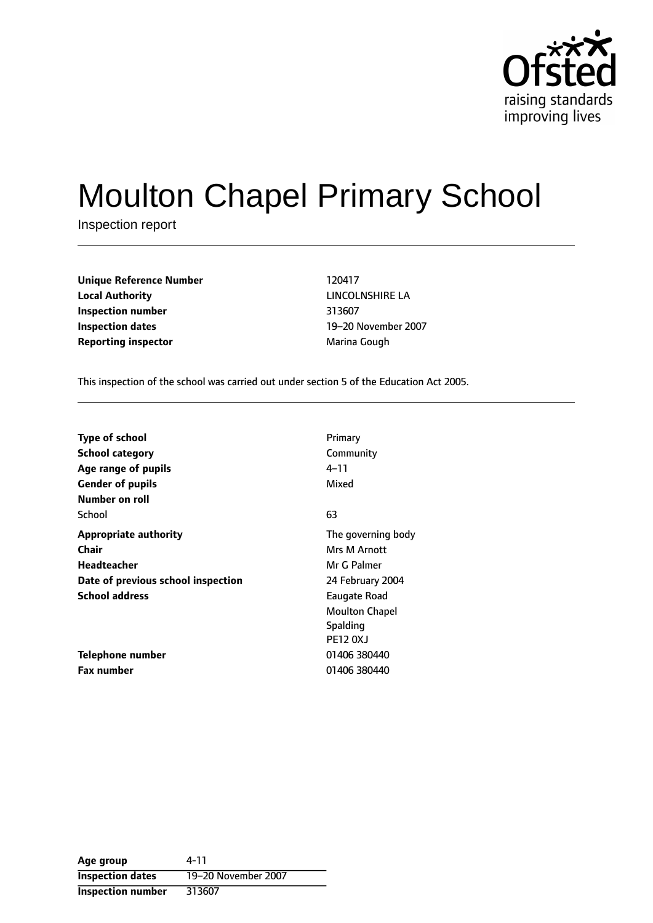

# Moulton Chapel Primary School

Inspection report

| <b>Unique Reference Number</b> | 120417       |
|--------------------------------|--------------|
| <b>Local Authority</b>         | LINCOLNSHIRI |
| Inspection number              | 313607       |
| <b>Inspection dates</b>        | 19-20 Novemb |
| <b>Reporting inspector</b>     | Marina Gough |

**LINCOLNSHIRE LA Inspection dates** 1920 November 2007

This inspection of the school was carried out under section 5 of the Education Act 2005.

| <b>Type of school</b>              | Primary               |
|------------------------------------|-----------------------|
| <b>School category</b>             | Community             |
| Age range of pupils                | 4–11                  |
| <b>Gender of pupils</b>            | Mixed                 |
| Number on roll                     |                       |
| School                             | 63                    |
| <b>Appropriate authority</b>       | The governing body    |
| <b>Chair</b>                       | Mrs M Arnott          |
| Headteacher                        | Mr G Palmer           |
| Date of previous school inspection | 24 February 2004      |
| <b>School address</b>              | Eaugate Road          |
|                                    | <b>Moulton Chapel</b> |
|                                    | <b>Spalding</b>       |
|                                    | <b>PE12 0XJ</b>       |
| Telephone number                   | 01406 380440          |
| <b>Fax number</b>                  | 01406 380440          |

**Age group** 4-11 **Inspection dates** 19-20 November 2007 **Inspection number** 313607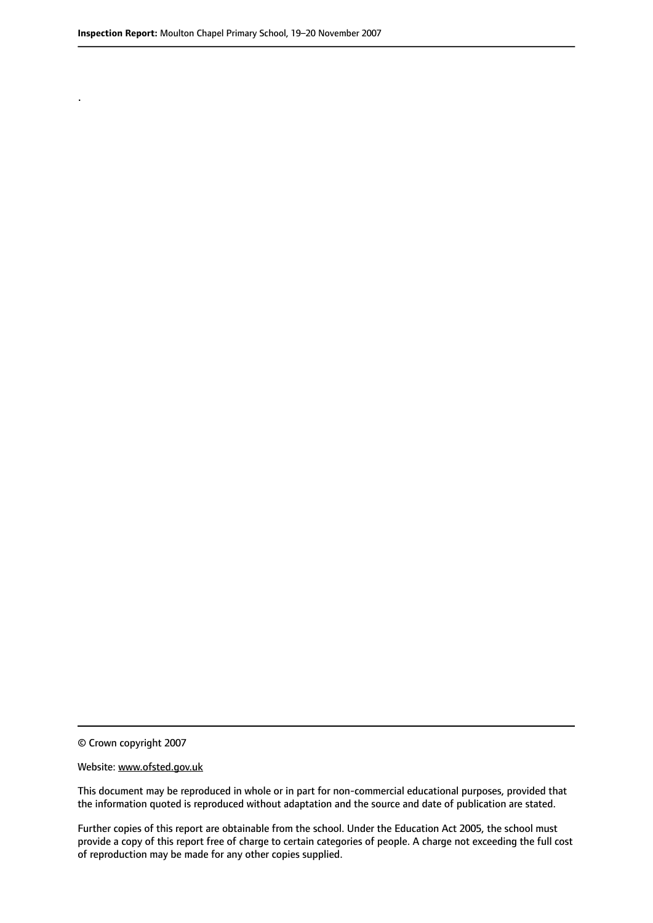.

© Crown copyright 2007

#### Website: www.ofsted.gov.uk

This document may be reproduced in whole or in part for non-commercial educational purposes, provided that the information quoted is reproduced without adaptation and the source and date of publication are stated.

Further copies of this report are obtainable from the school. Under the Education Act 2005, the school must provide a copy of this report free of charge to certain categories of people. A charge not exceeding the full cost of reproduction may be made for any other copies supplied.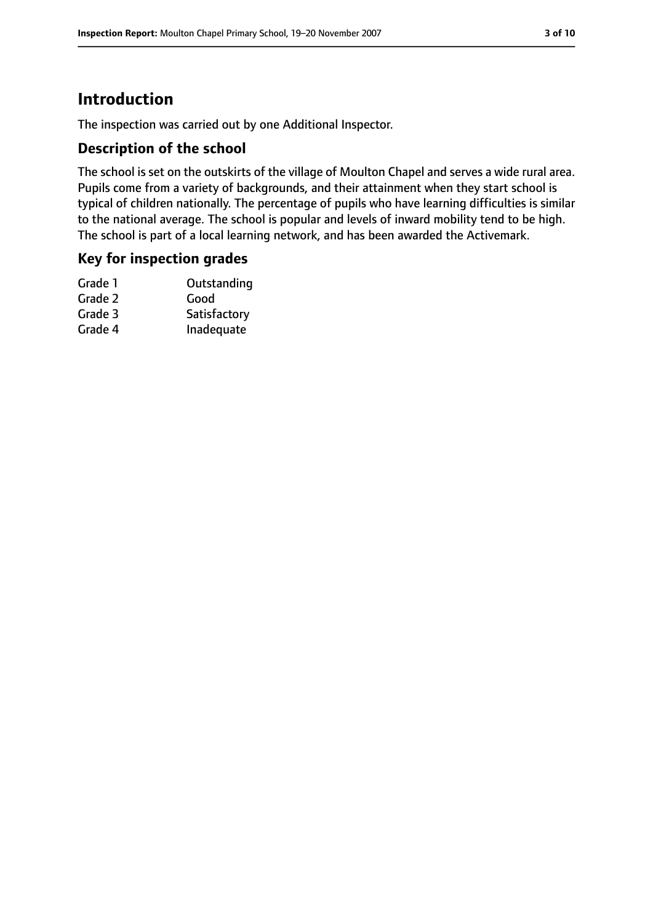# **Introduction**

The inspection was carried out by one Additional Inspector.

## **Description of the school**

The school is set on the outskirts of the village of Moulton Chapel and serves a wide rural area. Pupils come from a variety of backgrounds, and their attainment when they start school is typical of children nationally. The percentage of pupils who have learning difficulties is similar to the national average. The school is popular and levels of inward mobility tend to be high. The school is part of a local learning network, and has been awarded the Activemark.

## **Key for inspection grades**

| Outstanding  |
|--------------|
| Good         |
| Satisfactory |
| Inadequate   |
|              |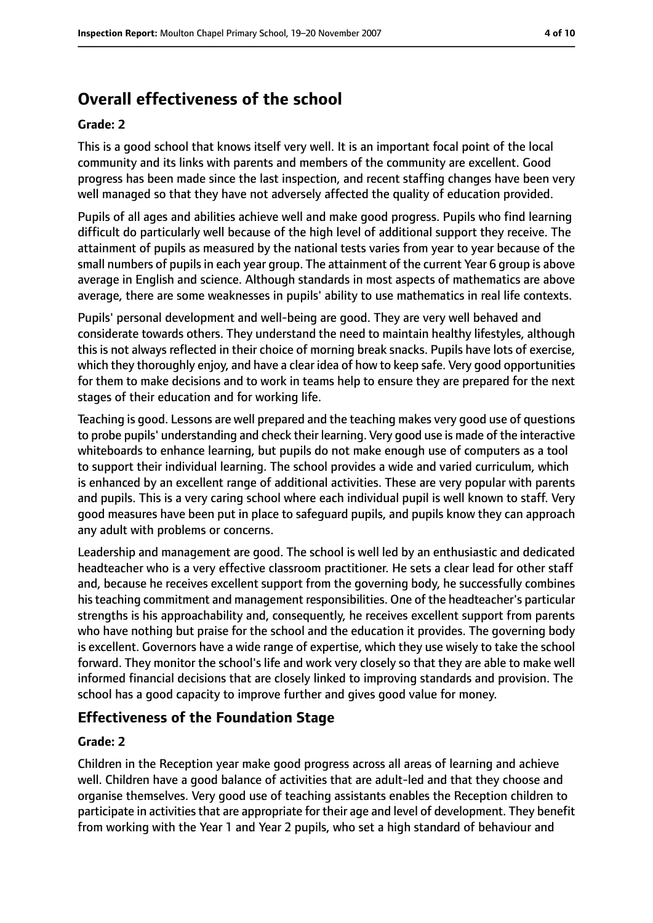# **Overall effectiveness of the school**

#### **Grade: 2**

This is a good school that knows itself very well. It is an important focal point of the local community and its links with parents and members of the community are excellent. Good progress has been made since the last inspection, and recent staffing changes have been very well managed so that they have not adversely affected the quality of education provided.

Pupils of all ages and abilities achieve well and make good progress. Pupils who find learning difficult do particularly well because of the high level of additional support they receive. The attainment of pupils as measured by the national tests varies from year to year because of the small numbers of pupils in each year group. The attainment of the current Year 6 group is above average in English and science. Although standards in most aspects of mathematics are above average, there are some weaknesses in pupils' ability to use mathematics in real life contexts.

Pupils' personal development and well-being are good. They are very well behaved and considerate towards others. They understand the need to maintain healthy lifestyles, although this is not always reflected in their choice of morning break snacks. Pupils have lots of exercise, which they thoroughly enjoy, and have a clear idea of how to keep safe. Very good opportunities for them to make decisions and to work in teams help to ensure they are prepared for the next stages of their education and for working life.

Teaching is good. Lessons are well prepared and the teaching makes very good use of questions to probe pupils' understanding and check their learning. Very good use is made of the interactive whiteboards to enhance learning, but pupils do not make enough use of computers as a tool to support their individual learning. The school provides a wide and varied curriculum, which is enhanced by an excellent range of additional activities. These are very popular with parents and pupils. This is a very caring school where each individual pupil is well known to staff. Very good measures have been put in place to safeguard pupils, and pupils know they can approach any adult with problems or concerns.

Leadership and management are good. The school is well led by an enthusiastic and dedicated headteacher who is a very effective classroom practitioner. He sets a clear lead for other staff and, because he receives excellent support from the governing body, he successfully combines histeaching commitment and management responsibilities. One of the headteacher's particular strengths is his approachability and, consequently, he receives excellent support from parents who have nothing but praise for the school and the education it provides. The governing body is excellent. Governors have a wide range of expertise, which they use wisely to take the school forward. They monitor the school's life and work very closely so that they are able to make well informed financial decisions that are closely linked to improving standards and provision. The school has a good capacity to improve further and gives good value for money.

## **Effectiveness of the Foundation Stage**

#### **Grade: 2**

Children in the Reception year make good progress across all areas of learning and achieve well. Children have a good balance of activities that are adult-led and that they choose and organise themselves. Very good use of teaching assistants enables the Reception children to participate in activities that are appropriate for their age and level of development. They benefit from working with the Year 1 and Year 2 pupils, who set a high standard of behaviour and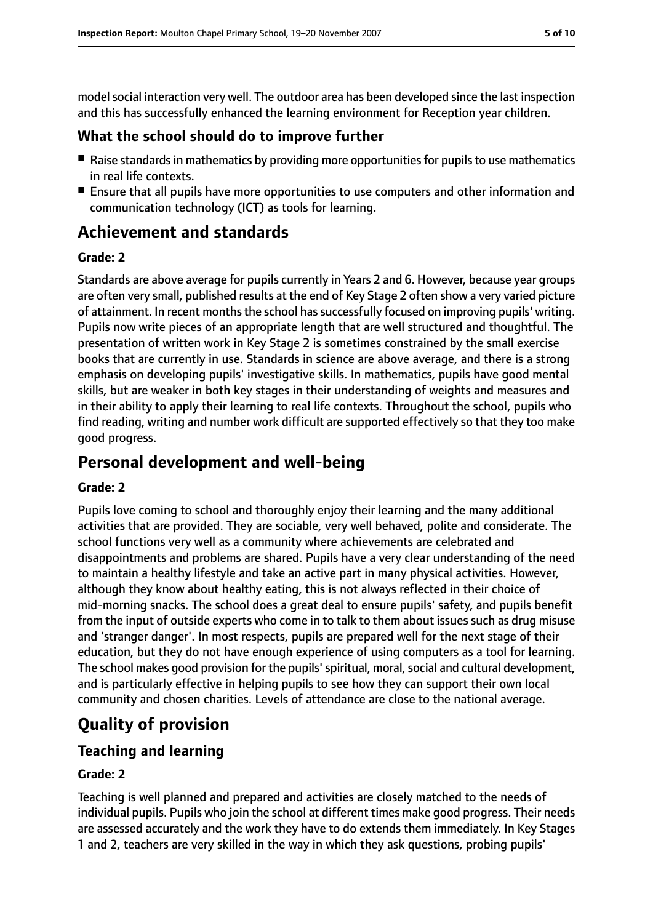model social interaction very well. The outdoor area has been developed since the last inspection and this has successfully enhanced the learning environment for Reception year children.

## **What the school should do to improve further**

- Raise standards in mathematics by providing more opportunities for pupils to use mathematics in real life contexts.
- Ensure that all pupils have more opportunities to use computers and other information and communication technology (ICT) as tools for learning.

# **Achievement and standards**

#### **Grade: 2**

Standards are above average for pupils currently in Years 2 and 6. However, because year groups are often very small, published results at the end of Key Stage 2 often show a very varied picture of attainment. In recent months the school has successfully focused on improving pupils' writing. Pupils now write pieces of an appropriate length that are well structured and thoughtful. The presentation of written work in Key Stage 2 is sometimes constrained by the small exercise books that are currently in use. Standards in science are above average, and there is a strong emphasis on developing pupils' investigative skills. In mathematics, pupils have good mental skills, but are weaker in both key stages in their understanding of weights and measures and in their ability to apply their learning to real life contexts. Throughout the school, pupils who find reading, writing and number work difficult are supported effectively so that they too make good progress.

# **Personal development and well-being**

## **Grade: 2**

Pupils love coming to school and thoroughly enjoy their learning and the many additional activities that are provided. They are sociable, very well behaved, polite and considerate. The school functions very well as a community where achievements are celebrated and disappointments and problems are shared. Pupils have a very clear understanding of the need to maintain a healthy lifestyle and take an active part in many physical activities. However, although they know about healthy eating, this is not always reflected in their choice of mid-morning snacks. The school does a great deal to ensure pupils' safety, and pupils benefit from the input of outside experts who come in to talk to them about issues such as drug misuse and 'stranger danger'. In most respects, pupils are prepared well for the next stage of their education, but they do not have enough experience of using computers as a tool for learning. The school makes good provision for the pupils' spiritual, moral, social and cultural development, and is particularly effective in helping pupils to see how they can support their own local community and chosen charities. Levels of attendance are close to the national average.

# **Quality of provision**

# **Teaching and learning**

## **Grade: 2**

Teaching is well planned and prepared and activities are closely matched to the needs of individual pupils. Pupils who join the school at different times make good progress. Their needs are assessed accurately and the work they have to do extends them immediately. In Key Stages 1 and 2, teachers are very skilled in the way in which they ask questions, probing pupils'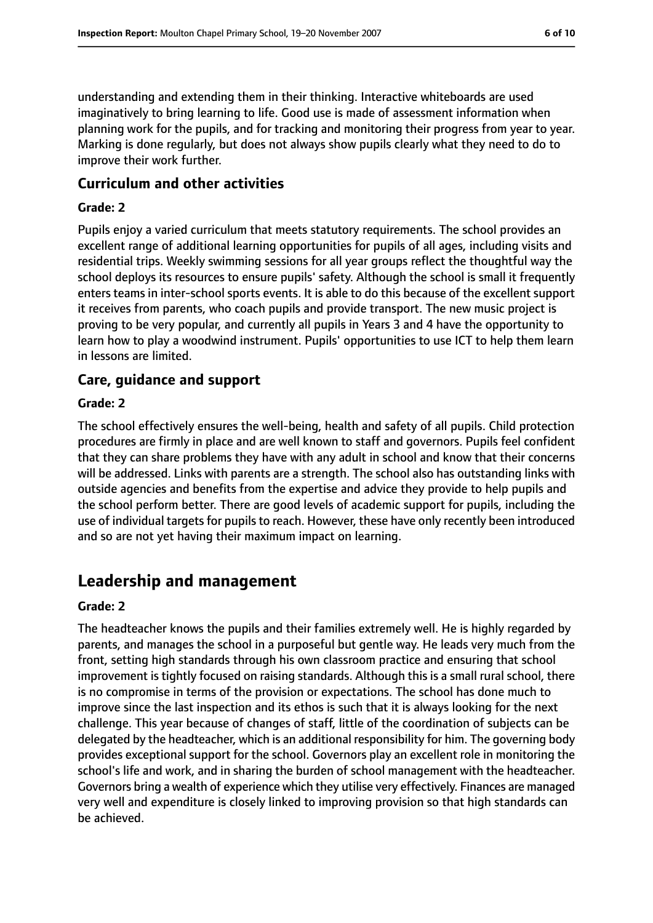understanding and extending them in their thinking. Interactive whiteboards are used imaginatively to bring learning to life. Good use is made of assessment information when planning work for the pupils, and for tracking and monitoring their progress from year to year. Marking is done regularly, but does not always show pupils clearly what they need to do to improve their work further.

#### **Curriculum and other activities**

#### **Grade: 2**

Pupils enjoy a varied curriculum that meets statutory requirements. The school provides an excellent range of additional learning opportunities for pupils of all ages, including visits and residential trips. Weekly swimming sessions for all year groups reflect the thoughtful way the school deploys its resources to ensure pupils' safety. Although the school is small it frequently enters teams in inter-school sports events. It is able to do this because of the excellent support it receives from parents, who coach pupils and provide transport. The new music project is proving to be very popular, and currently all pupils in Years 3 and 4 have the opportunity to learn how to play a woodwind instrument. Pupils' opportunities to use ICT to help them learn in lessons are limited.

#### **Care, guidance and support**

#### **Grade: 2**

The school effectively ensures the well-being, health and safety of all pupils. Child protection procedures are firmly in place and are well known to staff and governors. Pupils feel confident that they can share problems they have with any adult in school and know that their concerns will be addressed. Links with parents are a strength. The school also has outstanding links with outside agencies and benefits from the expertise and advice they provide to help pupils and the school perform better. There are good levels of academic support for pupils, including the use of individual targets for pupils to reach. However, these have only recently been introduced and so are not yet having their maximum impact on learning.

# **Leadership and management**

#### **Grade: 2**

The headteacher knows the pupils and their families extremely well. He is highly regarded by parents, and manages the school in a purposeful but gentle way. He leads very much from the front, setting high standards through his own classroom practice and ensuring that school improvement is tightly focused on raising standards. Although this is a small rural school, there is no compromise in terms of the provision or expectations. The school has done much to improve since the last inspection and its ethos is such that it is always looking for the next challenge. This year because of changes of staff, little of the coordination of subjects can be delegated by the headteacher, which is an additional responsibility for him. The governing body provides exceptional support for the school. Governors play an excellent role in monitoring the school's life and work, and in sharing the burden of school management with the headteacher. Governors bring a wealth of experience which they utilise very effectively. Finances are managed very well and expenditure is closely linked to improving provision so that high standards can be achieved.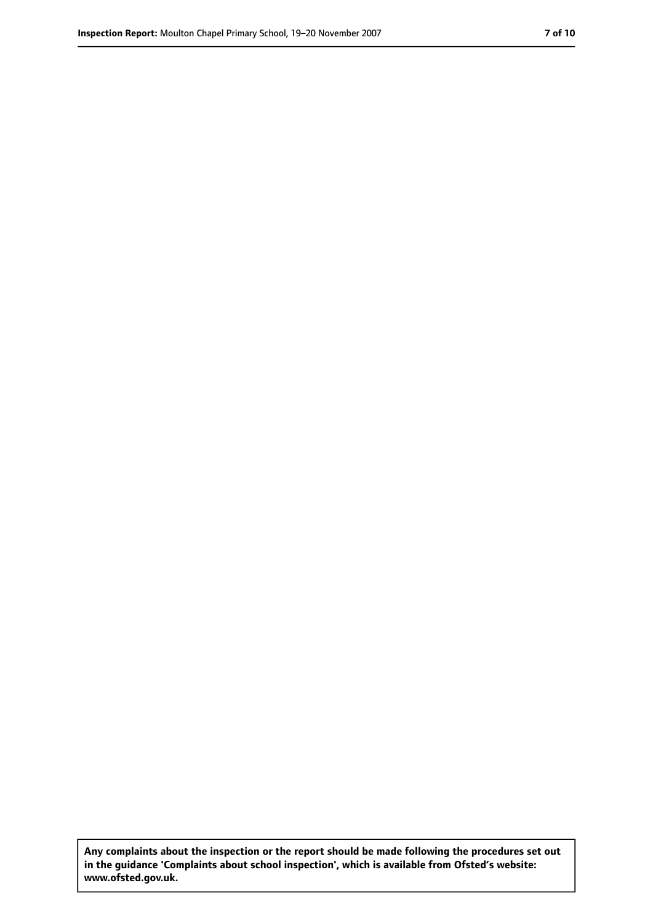**Any complaints about the inspection or the report should be made following the procedures set out in the guidance 'Complaints about school inspection', which is available from Ofsted's website: www.ofsted.gov.uk.**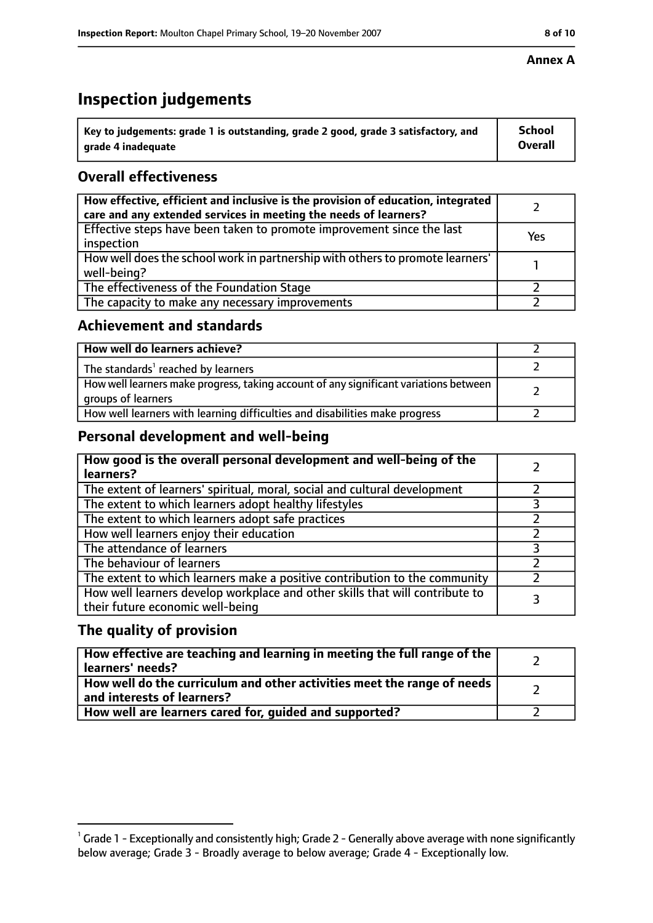# **Inspection judgements**

| $^{\backprime}$ Key to judgements: grade 1 is outstanding, grade 2 good, grade 3 satisfactory, and | <b>School</b>  |
|----------------------------------------------------------------------------------------------------|----------------|
| arade 4 inadeguate                                                                                 | <b>Overall</b> |

# **Overall effectiveness**

| How effective, efficient and inclusive is the provision of education, integrated<br>care and any extended services in meeting the needs of learners? |     |
|------------------------------------------------------------------------------------------------------------------------------------------------------|-----|
| Effective steps have been taken to promote improvement since the last<br>inspection                                                                  | Yes |
| How well does the school work in partnership with others to promote learners'<br>well-being?                                                         |     |
| The effectiveness of the Foundation Stage                                                                                                            |     |
| The capacity to make any necessary improvements                                                                                                      |     |

## **Achievement and standards**

| How well do learners achieve?                                                                               |  |
|-------------------------------------------------------------------------------------------------------------|--|
| The standards <sup>1</sup> reached by learners                                                              |  |
| How well learners make progress, taking account of any significant variations between<br>groups of learners |  |
| How well learners with learning difficulties and disabilities make progress                                 |  |

# **Personal development and well-being**

| How good is the overall personal development and well-being of the<br>learners?                                  |  |
|------------------------------------------------------------------------------------------------------------------|--|
| The extent of learners' spiritual, moral, social and cultural development                                        |  |
| The extent to which learners adopt healthy lifestyles                                                            |  |
| The extent to which learners adopt safe practices                                                                |  |
| How well learners enjoy their education                                                                          |  |
| The attendance of learners                                                                                       |  |
| The behaviour of learners                                                                                        |  |
| The extent to which learners make a positive contribution to the community                                       |  |
| How well learners develop workplace and other skills that will contribute to<br>their future economic well-being |  |

# **The quality of provision**

| How effective are teaching and learning in meeting the full range of the<br>learners' needs?          |  |
|-------------------------------------------------------------------------------------------------------|--|
| How well do the curriculum and other activities meet the range of needs<br>and interests of learners? |  |
| How well are learners cared for, guided and supported?                                                |  |

## **Annex A**

 $^1$  Grade 1 - Exceptionally and consistently high; Grade 2 - Generally above average with none significantly below average; Grade 3 - Broadly average to below average; Grade 4 - Exceptionally low.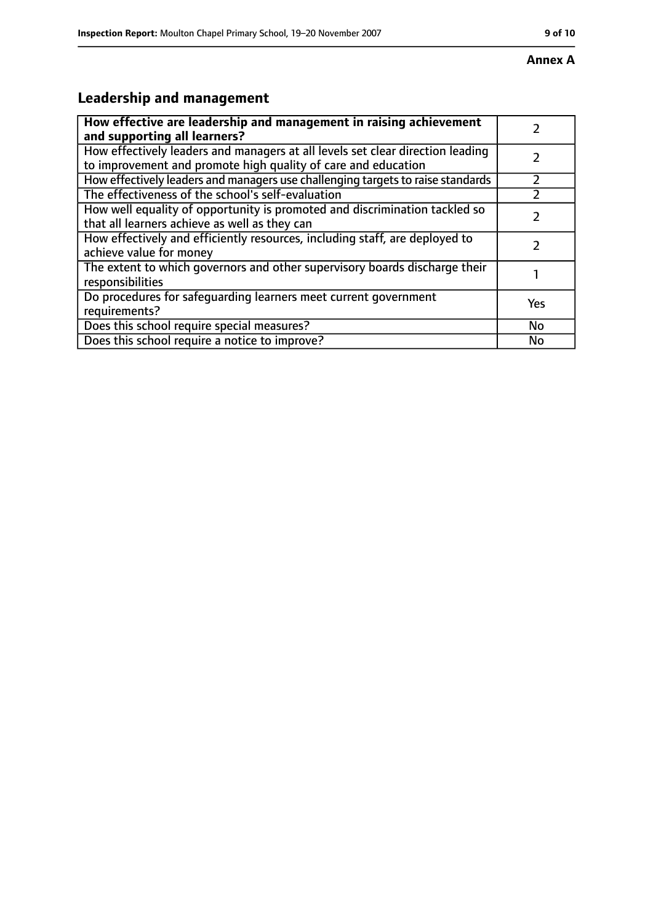# **Leadership and management**

| How effective are leadership and management in raising achievement<br>and supporting all learners?                                              |     |
|-------------------------------------------------------------------------------------------------------------------------------------------------|-----|
| How effectively leaders and managers at all levels set clear direction leading<br>to improvement and promote high quality of care and education |     |
| How effectively leaders and managers use challenging targets to raise standards                                                                 |     |
| The effectiveness of the school's self-evaluation                                                                                               |     |
| How well equality of opportunity is promoted and discrimination tackled so<br>that all learners achieve as well as they can                     |     |
| How effectively and efficiently resources, including staff, are deployed to<br>achieve value for money                                          |     |
| The extent to which governors and other supervisory boards discharge their<br>responsibilities                                                  |     |
| Do procedures for safequarding learners meet current government<br>requirements?                                                                | Yes |
| Does this school require special measures?                                                                                                      | No  |
| Does this school require a notice to improve?                                                                                                   | No  |